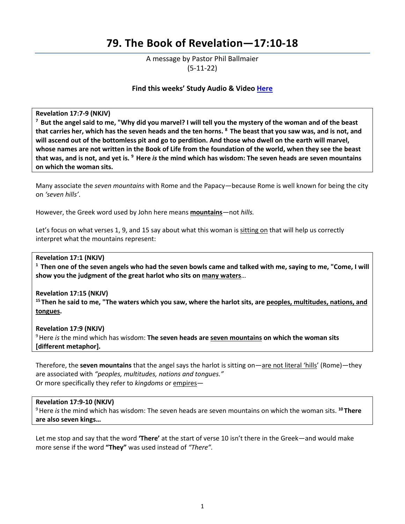# **79. The Book of Revelation—17:10-18**

A message by Pastor Phil Ballmaier (5-11-22)

# **Find this weeks' Study Audio & Video [Here](https://www.ccelkgrove.org/wednesdays)**

Revelation 17:7-9 (NKJV)<br><sup>7</sup> But the angel said to me, "Why did you marvel? I will tell you the mystery of the woman and of the beast **that carries her, which has the seven heads and the ten horns. 8 The beast that you saw was, and is not, and will ascend out of the bottomless pit and go to perdition. And those who dwell on the earth will marvel, whose names are not written in the Book of Life from the foundation of the world, when they see the beast that was, and is not, and yet is. 9 Here** *is* **the mind which has wisdom: The seven heads are seven mountains on which the woman sits.**

Many associate the *seven mountains* with Rome and the Papacy—because Rome is well known for being the city on *'seven hills'*.

However, the Greek word used by John here means **mountains***—*not *hills.* 

Let's focus on what verses 1, 9, and 15 say about what this woman is sitting on that will help us correctly interpret what the mountains represent:

**Revelation 17:1 (NKJV)** 

**1 Then one of the seven angels who had the seven bowls came and talked with me, saying to me, "Come, I will show you the judgment of the great harlot who sits on many waters**…

#### **Revelation 17:15 (NKJV)**

**15 Then he said to me, "The waters which you saw, where the harlot sits, are peoples, multitudes, nations, and tongues.** 

**Revelation 17:9 (NKJV)**  9 Here *is* the mind which has wisdom: **The seven heads are seven mountains on which the woman sits [different metaphor].** 

Therefore, the **seven mountains** that the angel says the harlot is sitting on—are not literal 'hills' (Rome)—they are associated with *"peoples, multitudes, nations and tongues."* Or more specifically they refer to *kingdoms* or empires—

#### **Revelation 17:9-10 (NKJV)**

9 Here *is* the mind which has wisdom: The seven heads are seven mountains on which the woman sits. **<sup>10</sup> There are also seven kings…** 

Let me stop and say that the word **'There'** at the start of verse 10 isn't there in the Greek—and would make more sense if the word **"They"** was used instead of *"There".*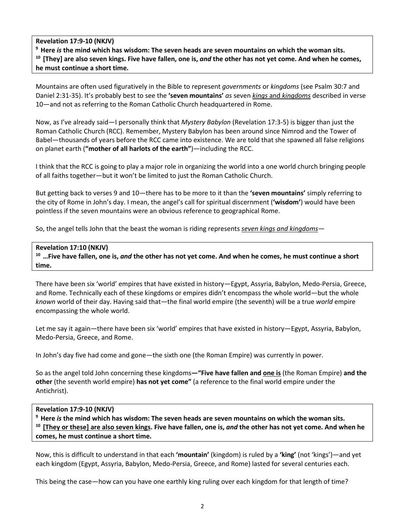# **Revelation 17:9-10 (NKJV)**

**9 Here** *is* **the mind which has wisdom: The seven heads are seven mountains on which the woman sits. 10 [They] are also seven kings. Five have fallen, one is,** *and* **the other has not yet come. And when he comes, he must continue a short time.**

Mountains are often used figuratively in the Bible to represent *governments* or *kingdoms* (see Psalm 30:7 and Daniel 2:31-35). It's probably best to see the **'seven mountains'** *as* seven *kings* and *kingdoms* described in verse 10—and not as referring to the Roman Catholic Church headquartered in Rome.

Now, as I've already said—I personally think that *Mystery Babylon* (Revelation 17:3-5) is bigger than just the Roman Catholic Church (RCC). Remember, Mystery Babylon has been around since Nimrod and the Tower of Babel—thousands of years before the RCC came into existence. We are told that she spawned all false religions on planet earth (**"mother of all harlots of the earth"**)—including the RCC.

I think that the RCC is going to play a major role in organizing the world into a one world church bringing people of all faiths together—but it won't be limited to just the Roman Catholic Church.

But getting back to verses 9 and 10—there has to be more to it than the **'seven mountains'** simply referring to the city of Rome in John's day. I mean, the angel's call for spiritual discernment (**'wisdom'**) would have been pointless if the seven mountains were an obvious reference to geographical Rome.

So, the angel tells John that the beast the woman is riding represents *seven kings and kingdoms*—

# **Revelation 17:10 (NKJV)**

**10 …Five have fallen, one is,** *and* **the other has not yet come. And when he comes, he must continue a short time.**

There have been six 'world' empires that have existed in history—Egypt, Assyria, Babylon, Medo-Persia, Greece, and Rome. Technically each of these kingdoms or empires didn't encompass the whole world—but the whole *known* world of their day. Having said that—the final world empire (the seventh) will be a true *world* empire encompassing the whole world.

Let me say it again—there have been six 'world' empires that have existed in history—Egypt, Assyria, Babylon, Medo-Persia, Greece, and Rome.

In John's day five had come and gone—the sixth one (the Roman Empire) was currently in power.

So as the angel told John concerning these kingdoms**—"Five have fallen and one is** (the Roman Empire) **and the other** (the seventh world empire) **has not yet come"** (a reference to the final world empire under the Antichrist).

#### **Revelation 17:9-10 (NKJV)**

**9 Here** *is* **the mind which has wisdom: The seven heads are seven mountains on which the woman sits. 10 [They or these] are also seven kings. Five have fallen, one is,** *and* **the other has not yet come. And when he comes, he must continue a short time.**

Now, this is difficult to understand in that each **'mountain'** (kingdom) is ruled by a **'king'** (not 'kings')—and yet each kingdom (Egypt, Assyria, Babylon, Medo-Persia, Greece, and Rome) lasted for several centuries each.

This being the case—how can you have one earthly king ruling over each kingdom for that length of time?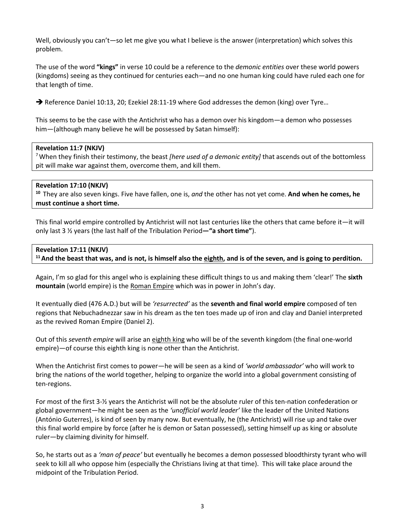Well, obviously you can't—so let me give you what I believe is the answer (interpretation) which solves this problem.

The use of the word **"kings"** in verse 10 could be a reference to the *demonic entities* over these world powers (kingdoms) seeing as they continued for centuries each—and no one human king could have ruled each one for that length of time.

 $\rightarrow$  Reference Daniel 10:13, 20; Ezekiel 28:11-19 where God addresses the demon (king) over Tyre...

This seems to be the case with the Antichrist who has a demon over his kingdom—a demon who possesses him—(although many believe he will be possessed by Satan himself):

# **Revelation 11:7 (NKJV)**

7 When they finish their testimony, the beast *[here used of a demonic entity]* that ascends out of the bottomless pit will make war against them, overcome them, and kill them.

# **Revelation 17:10 (NKJV)**

**<sup>10</sup>**They are also seven kings. Five have fallen, one is, *and* the other has not yet come. **And when he comes, he must continue a short time.**

This final world empire controlled by Antichrist will not last centuries like the others that came before it—it will only last 3 ½ years (the last half of the Tribulation Period**—"a short time"**).

# **Revelation 17:11 (NKJV)**

<sup>11</sup> And the beast that was, and is not, is himself also the eighth, and is of the seven, and is going to perdition.

Again, I'm so glad for this angel who is explaining these difficult things to us and making them 'clear!' The **sixth mountain** (world empire) is the Roman Empire which was in power in John's day.

It eventually died (476 A.D.) but will be *'resurrected'* as the **seventh and final world empire** composed of ten regions that Nebuchadnezzar saw in his dream as the ten toes made up of iron and clay and Daniel interpreted as the revived Roman Empire (Daniel 2).

Out of this *seventh empire* will arise an eighth king who will be of the seventh kingdom (the final one-world empire)—of course this eighth king is none other than the Antichrist.

When the Antichrist first comes to power—he will be seen as a kind of *'world ambassador'* who will work to bring the nations of the world together, helping to organize the world into a global government consisting of ten-regions.

For most of the first 3-½ years the Antichrist will not be the absolute ruler of this ten-nation confederation or global government—he might be seen as the *'unofficial world leader'* like the leader of the United Nations (António Guterres), is kind of seen by many now. But eventually, he (the Antichrist) will rise up and take over this final world empire by force (after he is demon or Satan possessed), setting himself up as king or absolute ruler—by claiming divinity for himself.

So, he starts out as a *'man of peace'* but eventually he becomes a demon possessed bloodthirsty tyrant who will seek to kill all who oppose him (especially the Christians living at that time). This will take place around the midpoint of the Tribulation Period.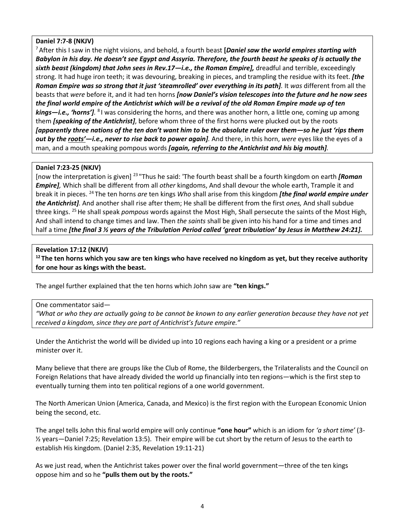# **Daniel 7:7-8 (NKJV)**

7 After this I saw in the night visions, and behold, a fourth beast **[***Daniel saw the world empires starting with Babylon in his day. He doesn't see Egypt and Assyria. Therefore, the fourth beast he speaks of is actually the sixth beast (kingdom) that John sees in Rev.17—i.e., the Roman Empire],* dreadful and terrible, exceedingly strong. It had huge iron teeth; it was devouring, breaking in pieces, and trampling the residue with its feet. *[the Roman Empire was so strong that it just 'steamrolled' over everything in its path].* It *was* different from all the beasts that *were* before it, and it had ten horns *[now Daniel's vision telescopes into the future and he now sees the final world empire of the Antichrist which will be a revival of the old Roman Empire made up of ten kings—i.e., 'horns'].* 8 I was considering the horns, and there was another horn, a little one*,* coming up among them *[speaking of the Antichrist]*, before whom three of the first horns were plucked out by the roots *[apparently three nations of the ten don't want him to be the absolute ruler over them—so he just 'rips them out by the roots'—i.e., never to rise back to power again].* And there, in this horn, *were* eyes like the eyes of a man, and a mouth speaking pompous words *[again, referring to the Antichrist and his big mouth].* 

# **Daniel 7:23-25 (NKJV)**

[now the interpretation is given] 23 "Thus he said: 'The fourth beast shall be a fourth kingdom on earth *[Roman Empire],* Which shall be different from all *other* kingdoms, And shall devour the whole earth, Trample it and break it in pieces. 24 The ten horns *are* ten kings *Who* shall arise from this kingdom *[the final world empire under the Antichrist].* And another shall rise after them; He shall be different from the first *ones,* And shall subdue three kings. 25 He shall speak *pompous* words against the Most High, Shall persecute the saints of the Most High, And shall intend to change times and law. Then *the saints* shall be given into his hand for a time and times and half a time *[the final 3 ½ years of the Tribulation Period called 'great tribulation' by Jesus in Matthew 24:21].*

# **Revelation 17:12 (NKJV)**

**12 The ten horns which you saw are ten kings who have received no kingdom as yet, but they receive authority for one hour as kings with the beast.** 

The angel further explained that the ten horns which John saw are **"ten kings."** 

#### One commentator said—

*"What or who they are actually going to be cannot be known to any earlier generation because they have not yet received a kingdom, since they are part of Antichrist's future empire."* 

Under the Antichrist the world will be divided up into 10 regions each having a king or a president or a prime minister over it.

Many believe that there are groups like the Club of Rome, the Bilderbergers, the Trilateralists and the Council on Foreign Relations that have already divided the world up financially into ten regions—which is the first step to eventually turning them into ten political regions of a one world government.

The North American Union (America, Canada, and Mexico) is the first region with the European Economic Union being the second, etc.

The angel tells John this final world empire will only continue **"one hour"** which is an idiom for *'a short time'* (3- ½ years—Daniel 7:25; Revelation 13:5). Their empire will be cut short by the return of Jesus to the earth to establish His kingdom. (Daniel 2:35, Revelation 19:11-21)

As we just read, when the Antichrist takes power over the final world government—three of the ten kings oppose him and so he **"pulls them out by the roots."**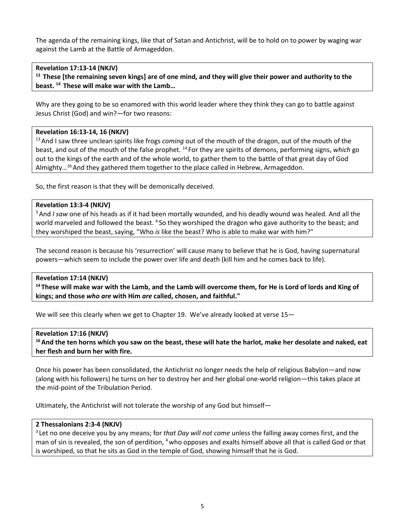The agenda of the remaining kings, like that of Satan and Antichrist, will be to hold on to power by waging war against the Lamb at the Battle of Armageddon.

# **Revelation 17:13-14 (NKJV)**

**13 These [the remaining seven kings] are of one mind, and they will give their power and authority to the beast. 14 These will make war with the Lamb…**

Why are they going to be so enamored with this world leader where they think they can go to battle against Jesus Christ (God) and win?—for two reasons:

#### **Revelation 16:13-14, 16 (NKJV)**

13 And I saw three unclean spirits like frogs *coming* out of the mouth of the dragon, out of the mouth of the beast, and out of the mouth of the false prophet. 14 For they are spirits of demons, performing signs, *which* go out to the kings of the earth and of the whole world, to gather them to the battle of that great day of God Almighty…16 And they gathered them together to the place called in Hebrew, Armageddon.

So, the first reason is that they will be demonically deceived.

# **Revelation 13:3-4 (NKJV)**

3 And *I saw* one of his heads as if it had been mortally wounded, and his deadly wound was healed. And all the world marveled and followed the beast. <sup>4</sup> So they worshiped the dragon who gave authority to the beast; and they worshiped the beast, saying, "Who *is* like the beast? Who is able to make war with him?"

The second reason is because his 'resurrection' will cause many to believe that he is God, having supernatural powers—which seem to include the power over life and death (kill him and he comes back to life).

# **Revelation 17:14 (NKJV)**

**14 These will make war with the Lamb, and the Lamb will overcome them, for He is Lord of lords and King of kings; and those** *who are* **with Him** *are* **called, chosen, and faithful."** 

We will see this clearly when we get to Chapter 19. We've already looked at verse 15-

#### **Revelation 17:16 (NKJV)**

**16 And the ten horns which you saw on the beast, these will hate the harlot, make her desolate and naked, eat her flesh and burn her with fire.** 

Once his power has been consolidated, the Antichrist no longer needs the help of religious Babylon—and now (along with his followers) he turns on her to destroy her and her global one-world religion—this takes place at the mid-point of the Tribulation Period.

Ultimately, the Antichrist will not tolerate the worship of any God but himself—

#### **2 Thessalonians 2:3-4 (NKJV)**

3 Let no one deceive you by any means; for *that Day will not come* unless the falling away comes first, and the man of sin is revealed, the son of perdition, <sup>4</sup> who opposes and exalts himself above all that is called God or that is worshiped, so that he sits as God in the temple of God, showing himself that he is God.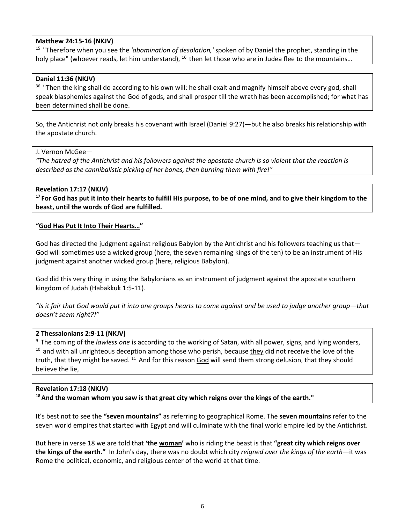# **Matthew 24:15-16 (NKJV)**

15 "Therefore when you see the *'abomination of desolation,'* spoken of by Daniel the prophet, standing in the holy place" (whoever reads, let him understand), <sup>16</sup> then let those who are in Judea flee to the mountains...

#### **Daniel 11:36 (NKJV)**

<sup>36</sup> "Then the king shall do according to his own will: he shall exalt and magnify himself above every god, shall speak blasphemies against the God of gods, and shall prosper till the wrath has been accomplished; for what has been determined shall be done.

So, the Antichrist not only breaks his covenant with Israel (Daniel 9:27)—but he also breaks his relationship with the apostate church.

#### J. Vernon McGee—

*"The hatred of the Antichrist and his followers against the apostate church is so violent that the reaction is described as the cannibalistic picking of her bones, then burning them with fire!"* 

#### **Revelation 17:17 (NKJV)**

**17 For God has put it into their hearts to fulfill His purpose, to be of one mind, and to give their kingdom to the beast, until the words of God are fulfilled.** 

#### **"God Has Put It Into Their Hearts…"**

God has directed the judgment against religious Babylon by the Antichrist and his followers teaching us that— God will sometimes use a wicked group (here, the seven remaining kings of the ten) to be an instrument of His judgment against another wicked group (here, religious Babylon).

God did this very thing in using the Babylonians as an instrument of judgment against the apostate southern kingdom of Judah (Habakkuk 1:5-11).

*"Is it fair that God would put it into one groups hearts to come against and be used to judge another group—that doesn't seem right?!"*

# **2 Thessalonians 2:9-11 (NKJV)**

9 The coming of the *lawless one* is according to the working of Satan, with all power, signs, and lying wonders,  $10$  and with all unrighteous deception among those who perish, because they did not receive the love of the truth, that they might be saved. <sup>11</sup> And for this reason God will send them strong delusion, that they should believe the lie,

# **Revelation 17:18 (NKJV) 18 And the woman whom you saw is that great city which reigns over the kings of the earth."**

It's best not to see the **"seven mountains"** as referring to geographical Rome. The **seven mountains** refer to the seven world empires that started with Egypt and will culminate with the final world empire led by the Antichrist.

But here in verse 18 we are told that **'the woman'** who is riding the beast is that **"great city which reigns over the kings of the earth."** In John's day, there was no doubt which city *reigned over the kings of the earth*—it was Rome the political, economic, and religious center of the world at that time.